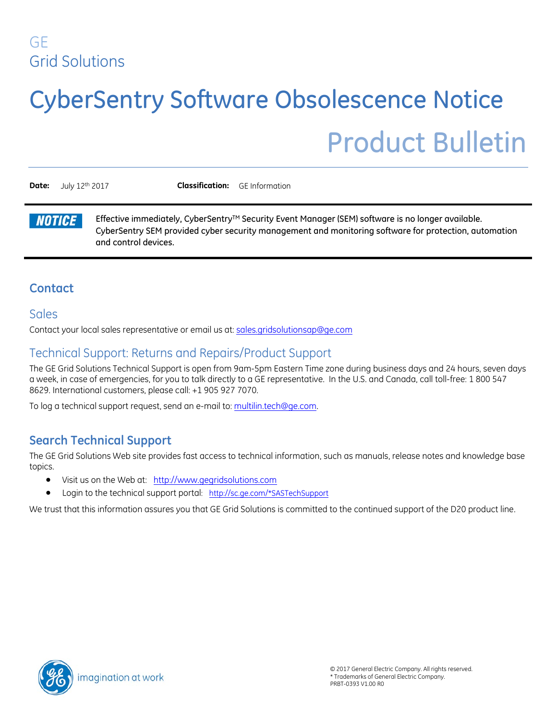### GE Grid Solutions

# CyberSentry Software Obsolescence Notice

## Product Bulletin

**Date:** July 12<sup>th</sup> 2017 **Classification:** GE Information

**NOTICE** 

Effective immediately, CyberSentry<sup>TM</sup> Security Event Manager (SEM) software is no longer available. CyberSentry SEM provided cyber security management and monitoring software for protection, automation and control devices.

#### **Contact**

#### Sales

Contact your local sales representative or email us at: sales.gridsolutionsap@ge.com

#### Technical Support: Returns and Repairs/Product Support

The GE Grid Solutions Technical Support is open from 9am-5pm Eastern Time zone during business days and 24 hours, seven days a week, in case of emergencies, for you to talk directly to a GE representative. In the U.S. and Canada, call toll-free: 1 800 547 8629. International customers, please call: +1 905 927 7070.

To log a technical support request, send an e-mail to[: multilin.tech@ge.com.](mailto:multilin.tech@ge.com)

#### **Search Technical Support**

The GE Grid Solutions Web site provides fast access to technical information, such as manuals, release notes and knowledge base topics.

- Visit us on the Web at: [http://www.gegridsolutions.com](http://www.gegridsolutions.com/)
- Login to the technical support portal: [http://sc.ge.com/\\*SASTechSupport](http://sc.ge.com/*SASTechSupport)

We trust that this information assures you that GE Grid Solutions is committed to the continued support of the D20 product line.